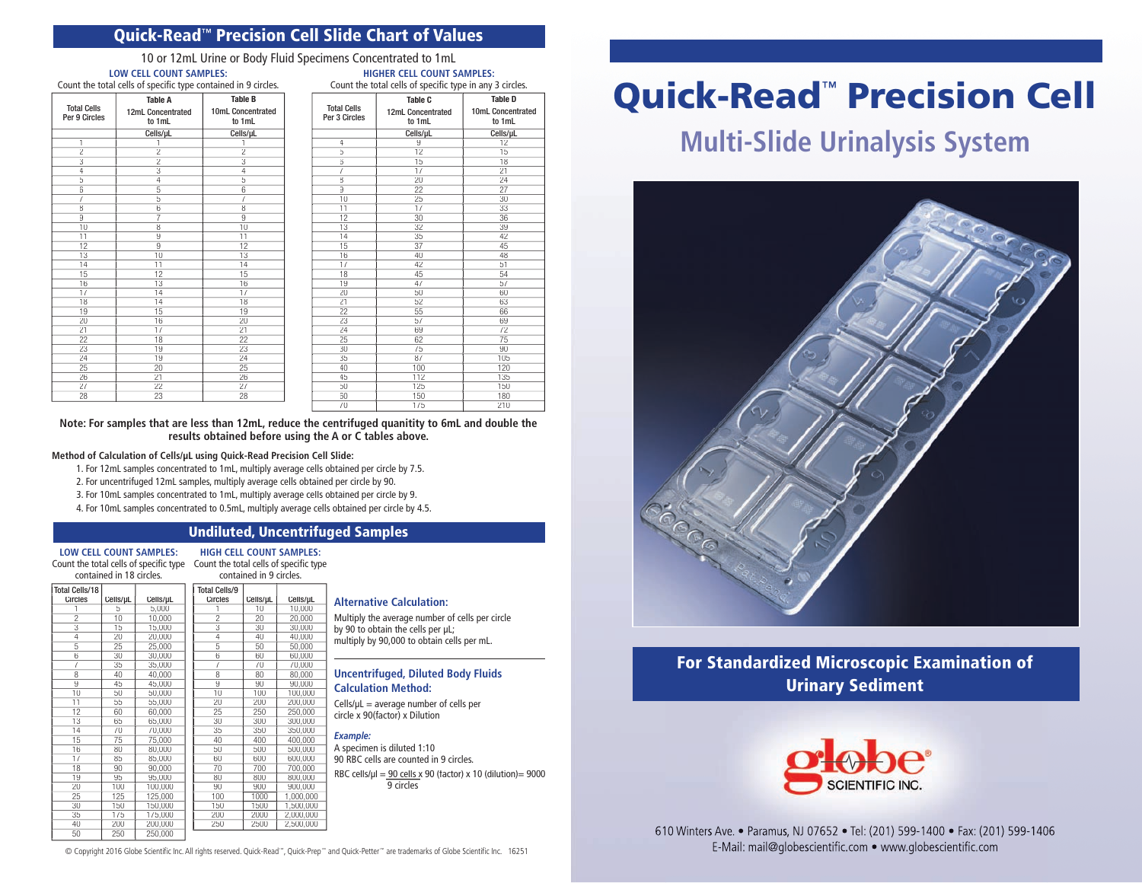## Quick-Read**™** Precision Cell Slide Chart of Values

10 or 12mL Urine or Body Fluid Specimens Concentrated to 1mL **LOW CELL COUNT SAMPLES: HIGHER CELL COUNT SAMPLES:**

| Count the total cells of specific type contained in 9 circles. |                                               |                                               |  |  |
|----------------------------------------------------------------|-----------------------------------------------|-----------------------------------------------|--|--|
| <b>Total Cells</b><br>Per 9 Circles                            | <b>Table A</b><br>12mL Concentrated<br>to 1mL | <b>Table B</b><br>10mL Concentrated<br>to 1mL |  |  |
|                                                                | Cells/µL                                      | Cells/µL                                      |  |  |
| 1                                                              |                                               |                                               |  |  |
| $\overline{2}$                                                 | $\overline{2}$                                | $\overline{2}$                                |  |  |
| 3                                                              | $\overline{2}$                                | 3                                             |  |  |
| 4                                                              | $\overline{3}$                                | $\overline{4}$                                |  |  |
| 5                                                              | $\overline{4}$                                | 5                                             |  |  |
| 6                                                              | 5                                             | 6                                             |  |  |
| 7                                                              | 5                                             | $\overline{7}$                                |  |  |
| 8                                                              | 6                                             | $\overline{\mathbf{8}}$                       |  |  |
| 9                                                              | 7                                             | 9                                             |  |  |
| 10                                                             | 8                                             | 10                                            |  |  |
| 11                                                             | $\overline{9}$                                | 11                                            |  |  |
| 12                                                             | 9                                             | 12                                            |  |  |
| 13                                                             | 10                                            | 13                                            |  |  |
| 14                                                             | 11                                            | 14                                            |  |  |
| 15                                                             | 12                                            | 15                                            |  |  |
| 16                                                             | $\overline{13}$                               | 16                                            |  |  |
| 17                                                             | 14                                            | 17                                            |  |  |
| 18                                                             | 14                                            | 18                                            |  |  |
| 19                                                             | 15                                            | 19                                            |  |  |
| 20                                                             | 16                                            | $\overline{20}$                               |  |  |
| 21                                                             | 17                                            | 21                                            |  |  |
| 22                                                             | 18                                            | 22                                            |  |  |
| 23                                                             | 19                                            | 23                                            |  |  |
| 24                                                             | 19                                            | 24                                            |  |  |
| 25                                                             | 20                                            | 25                                            |  |  |
| 26                                                             | 21                                            | 26                                            |  |  |
| 27                                                             | 22                                            | 27                                            |  |  |
| 28                                                             | 23                                            | 28                                            |  |  |
|                                                                |                                               |                                               |  |  |

| Count the total cells of specific type in any 3 circles. |                                        |                                               |  |  |
|----------------------------------------------------------|----------------------------------------|-----------------------------------------------|--|--|
| <b>Total Cells</b><br>Per 3 Circles                      | Table C<br>12mL Concentrated<br>to 1mL | <b>Table D</b><br>10mL Concentrated<br>to 1mL |  |  |
|                                                          |                                        |                                               |  |  |
|                                                          | Cells/µL                               | Cells/µL                                      |  |  |
| $\overline{4}$                                           | 9                                      | 12                                            |  |  |
| 5                                                        | 12                                     | 15                                            |  |  |
| 6                                                        | 15                                     | 18                                            |  |  |
| 7                                                        | 17                                     | 21                                            |  |  |
| 8                                                        | 20                                     | 24                                            |  |  |
| 9                                                        | 22                                     | 27                                            |  |  |
| 10                                                       | 25                                     | 30                                            |  |  |
| 11                                                       | 17                                     | 33                                            |  |  |
| 12                                                       | 30                                     | 36                                            |  |  |
| 13                                                       | 32                                     | 39                                            |  |  |
| 14                                                       | 35                                     | 42                                            |  |  |
| 15                                                       | 37                                     | 45                                            |  |  |
| 16                                                       | 40                                     | 48                                            |  |  |
| 17                                                       | 42                                     | 51                                            |  |  |
| 18                                                       | 45                                     | 54                                            |  |  |
| 19                                                       | 47                                     | 57                                            |  |  |
| 20                                                       | 50                                     | 60                                            |  |  |
| 21                                                       | 52                                     | 63                                            |  |  |
| 22                                                       | 55                                     | 66                                            |  |  |
| 23                                                       | 57                                     | 69                                            |  |  |
| 24                                                       | 69                                     | 72                                            |  |  |
| 25                                                       | 62                                     | 75                                            |  |  |
| 30                                                       | 75                                     | 90                                            |  |  |
| 35                                                       | 87                                     | 105                                           |  |  |
| 40                                                       | 100                                    | 120                                           |  |  |
| 45                                                       | 112                                    | 135                                           |  |  |
| 50                                                       | 125                                    | 150                                           |  |  |
| 60                                                       | 150                                    | 180                                           |  |  |

70 175 210

**Note: For samples that are less than 12mL, reduce the centrifuged quanitity to 6mL and double the results obtained before using the A or C tables above.** 

#### **Method of Calculation of Cells/µL using Quick-Read Precision Cell Slide:**

- 1. For 12mL samples concentrated to 1mL, multiply average cells obtained per circle by 7.5.
- 2. For uncentrifuged 12mL samples, multiply average cells obtained per circle by 90.
- 3. For 10mL samples concentrated to 1mL, multiply average cells obtained per circle by 9.
- 4. For 10mL samples concentrated to 0.5mL, multiply average cells obtained per circle by 4.5.

## Undiluted, Uncentrifuged Samples

**LOW CELL COUNT SAMPLES:** Count the total cells of specific type Count the total cells of specific type

**HIGH CELL COUNT SAMPLES:**

|                                         | contained in 18 circles. |          |                                        | contained in 9 circles. |           |
|-----------------------------------------|--------------------------|----------|----------------------------------------|-------------------------|-----------|
| <b>Total Cells/18</b><br><b>Circles</b> | Cells/uL                 | Cells/µL | <b>Total Cells/9</b><br><b>Circles</b> | Cells/µL                | Cells/µL  |
|                                         | 5                        | 5,000    |                                        | 10                      | 10,000    |
| $\overline{2}$                          | 10                       | 10,000   | $\overline{c}$                         | 20                      | 20,000    |
| $\overline{3}$                          | 15                       | 15,000   | 3                                      | 30                      | 30,000    |
| 4                                       | 20                       | 20.000   | 4                                      | 40                      | 40.000    |
| 5                                       | 25                       | 25,000   | 5                                      | 50                      | 50,000    |
| 6                                       | 30                       | 30,000   | 6                                      | 60                      | 60,000    |
| 7                                       | 35                       | 35,000   | 7                                      | 70                      | 70,000    |
| 8                                       | 40                       | 40,000   | 8                                      | 80                      | 80,000    |
| $\overline{9}$                          | 45                       | 45,000   | 9                                      | 90                      | 90,000    |
| 10                                      | 50                       | 50,000   | 10                                     | 100                     | 100,000   |
| 11                                      | 55                       | 55.000   | 20                                     | 200                     | 200.000   |
| $\overline{12}$                         | 60                       | 60,000   | $\overline{25}$                        | 250                     | 250,000   |
| 13                                      | 65                       | 65,000   | 30                                     | 300                     | 300,000   |
| 14                                      | 70                       | 70,000   | 35                                     | 350                     | 350,000   |
| 15                                      | 75                       | 75,000   | 40                                     | 400                     | 400,000   |
| 16                                      | 80                       | 80,000   | 50                                     | 500                     | 500,000   |
| 17                                      | 85                       | 85,000   | 60                                     | 600                     | 600,000   |
| 18                                      | 90                       | 90,000   | 70                                     | 700                     | 700,000   |
| 19                                      | 95                       | 95,000   | 80                                     | 800                     | 800,000   |
| 20                                      | 100                      | 100,000  | 90                                     | 900                     | 900,000   |
| 25                                      | 125                      | 125,000  | 100                                    | 1000                    | 1,000,000 |
| 30                                      | 150                      | 150,000  | 150                                    | 1500                    | 1,500,000 |
| 35                                      | 175                      | 175,000  | 200                                    | 2000                    | 2,000,000 |
| 40                                      | 200                      | 200,000  | 250                                    | 2500                    | 2,500,000 |
| 50                                      | 250                      | 250,000  |                                        |                         |           |

#### **Alternative Calculation:**

Multiply the average number of cells per circle by 90 to obtain the cells per µL; multiply by 90,000 to obtain cells per mL.

#### **Uncentrifuged, Diluted Body Fluids Calculation Method:**

 $Cells/uL = average number of cells per$ circle x 90(factor) x Dilution

*Example:* A specimen is diluted 1:10 90 RBC cells are counted in 9 circles. RBC cells/ $\mu$ l = 90 cells x 90 (factor) x 10 (dilution)= 9000 9 circles

Quick-Read™ Precision Cell

# **Multi-Slide Urinalysis System**



For Standardized Microscopic Examination of Urinary Sediment



610 Winters Ave. • Paramus, NJ 07652 • Tel: (201) 599-1400 • Fax: (201) 599-1406 © Copyright 2016 Globe Scientific Inc. All rights reserved. Quick-Read™, Quick-Prep™ and Quick-Petter™ are trademarks of Globe Scientific Inc. 16251 E-Mail: mail@globescientific.com • www.globescientific.com